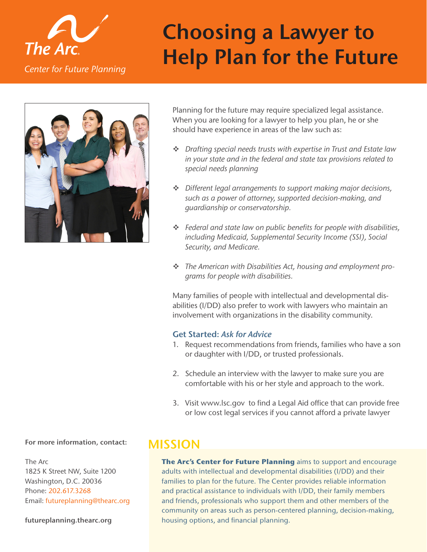

# **Choosing a Lawyer to The Arc.**<br>Center for Future Planning<br>Center for Future Planning



Planning for the future may require specialized legal assistance. When you are looking for a lawyer to help you plan, he or she should have experience in areas of the law such as:

- *Drafting special needs trusts with expertise in Trust and Estate law in your state and in the federal and state tax provisions related to special needs planning*
- *Different legal arrangements to support making major decisions, such as a power of attorney, supported decision-making, and guardianship or conservatorship.*
- *Federal and state law on public benefits for people with disabilities, including Medicaid, Supplemental Security Income (SSI), Social Security, and Medicare.*
- *The American with Disabilities Act, housing and employment programs for people with disabilities.*

Many families of people with intellectual and developmental disabilities (I/DD) also prefer to work with lawyers who maintain an involvement with organizations in the disability community.

## **Get Started:** *Ask for Advice*

- 1. Request recommendations from friends, families who have a son or daughter with I/DD, or trusted professionals.
- 2. Schedule an interview with the lawyer to make sure you are comfortable with his or her style and approach to the work.
- 3. Visit [www.lsc.gov](http://www.lsc.gov/) to find a Legal Aid office that can provide free or low cost legal services if you cannot afford a private lawyer

# **For more information, contact: MISSION**

The Arc 1825 K Street NW, Suite 1200 Washington, D.C. 20036 Phone: 202.617.3268 Email: [futureplanning@thearc.org](mailto:futureplanning@thearc.org)

### **[futureplanning.thearc.org](http://futureplanning.thearc.org/)**

**The Arc's Center for Future Planning** aims to support and encourage adults with intellectual and developmental disabilities (I/DD) and their families to plan for the future. The Center provides reliable information and practical assistance to individuals with I/DD, their family members and friends, professionals who support them and other members of the community on areas such as person-centered planning, decision-making, housing options, and financial planning.